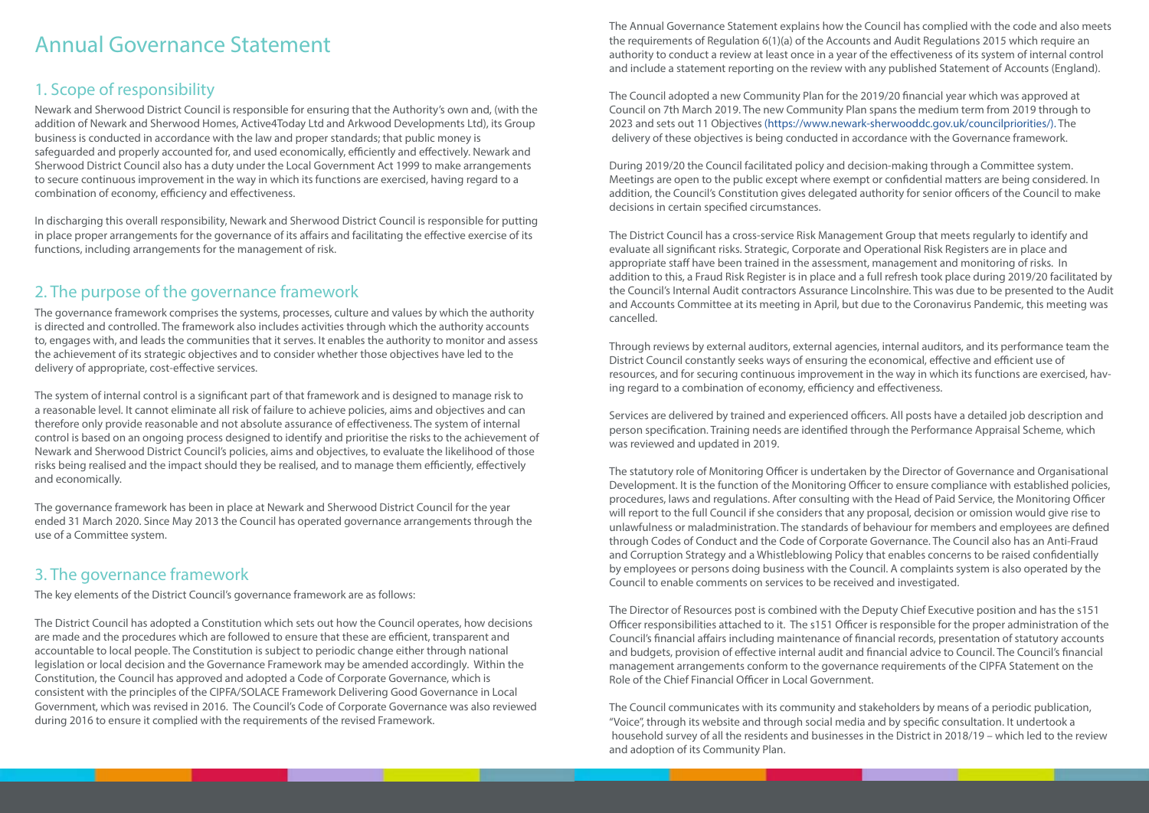# Annual Governance Statement

## 1. Scope of responsibility

Newark and Sherwood District Council is responsible for ensuring that the Authority's own and, (with the addition of Newark and Sherwood Homes, Active4Today Ltd and Arkwood Developments Ltd), its Group business is conducted in accordance with the law and proper standards; that public money is safeguarded and properly accounted for, and used economically, efficiently and effectively. Newark and Sherwood District Council also has a duty under the Local Government Act 1999 to make arrangements to secure continuous improvement in the way in which its functions are exercised, having regard to a combination of economy, efficiency and effectiveness.

In discharging this overall responsibility, Newark and Sherwood District Council is responsible for putting in place proper arrangements for the governance of its affairs and facilitating the effective exercise of its functions, including arrangements for the management of risk.

## 2. The purpose of the governance framework

The governance framework comprises the systems, processes, culture and values by which the authority is directed and controlled. The framework also includes activities through which the authority accounts to, engages with, and leads the communities that it serves. It enables the authority to monitor and assess the achievement of its strategic objectives and to consider whether those objectives have led to the delivery of appropriate, cost-effective services.

The system of internal control is a significant part of that framework and is designed to manage risk to a reasonable level. It cannot eliminate all risk of failure to achieve policies, aims and objectives and can therefore only provide reasonable and not absolute assurance of effectiveness. The system of internal control is based on an ongoing process designed to identify and prioritise the risks to the achievement of Newark and Sherwood District Council's policies, aims and objectives, to evaluate the likelihood of those risks being realised and the impact should they be realised, and to manage them efficiently, effectively and economically.

The governance framework has been in place at Newark and Sherwood District Council for the year ended 31 March 2020. Since May 2013 the Council has operated governance arrangements through the use of a Committee system.

## 3. The governance framework

The key elements of the District Council's governance framework are as follows:

The District Council has adopted a Constitution which sets out how the Council operates, how decisions are made and the procedures which are followed to ensure that these are efficient, transparent and accountable to local people. The Constitution is subject to periodic change either through national legislation or local decision and the Governance Framework may be amended accordingly. Within the Constitution, the Council has approved and adopted a Code of Corporate Governance, which is consistent with the principles of the CIPFA/SOLACE Framework Delivering Good Governance in Local Government, which was revised in 2016. The Council's Code of Corporate Governance was also reviewed during 2016 to ensure it complied with the requirements of the revised Framework.

The Annual Governance Statement explains how the Council has complied with the code and also meets the requirements of Regulation 6(1)(a) of the Accounts and Audit Regulations 2015 which require an authority to conduct a review at least once in a year of the effectiveness of its system of internal control and include a statement reporting on the review with any published Statement of Accounts (England).

The Council adopted a new Community Plan for the 2019/20 financial year which was approved at Council on 7th March 2019. The new Community Plan spans the medium term from 2019 through to 2023 and sets out 11 Objectives [\(https://www.newark-sherwooddc.gov.uk/councilpriorities/\). The](https://www.newark-sherwooddc.gov.uk/councilpriorities/)  [delivery of these objectives is being conducted in accordance with the Governance framework.](https://www.newark-sherwooddc.gov.uk/councilpriorities/) 

[During 2019/20 the Council facilitated policy and decision-making through a Committee system.](https://www.newark-sherwooddc.gov.uk/councilpriorities/)  [Meetings are open to the public except where exempt or confidential matters are being considered. In](https://www.newark-sherwooddc.gov.uk/councilpriorities/)  [addition, the Council's Constitution gives delegated authority for senior officers of the Council to make](https://www.newark-sherwooddc.gov.uk/councilpriorities/)  [decisions in certain specified circumstances.](https://www.newark-sherwooddc.gov.uk/councilpriorities/) 

[The District Council has a cross-service Risk Management Group that meets regularly to identify and](https://www.newark-sherwooddc.gov.uk/councilpriorities/)  [evaluate all significant risks. Strategic, Corporate and Operational Risk Registers are in place and](https://www.newark-sherwooddc.gov.uk/councilpriorities/)  [appropriate staff have been trained in the assessment, management and monitoring of risks. In](https://www.newark-sherwooddc.gov.uk/councilpriorities/)  [addition to this, a Fraud Risk Register is in place and a full refresh took place during 2019/20 facilitated by](https://www.newark-sherwooddc.gov.uk/councilpriorities/)  [the Council's Internal Audit contractors Assurance Lincolnshire. This was due to be presented to the Audit](https://www.newark-sherwooddc.gov.uk/councilpriorities/)  [and Accounts Committee at its meeting in April, but due to the Coronavirus Pandemic, this meeting was](https://www.newark-sherwooddc.gov.uk/councilpriorities/)  [cancelled.](https://www.newark-sherwooddc.gov.uk/councilpriorities/)

[Through reviews by external auditors, external agencies, internal auditors, and its performance team the](https://www.newark-sherwooddc.gov.uk/councilpriorities/)  [District Council constantly seeks ways of ensuring the economical, effective and efficient use of](https://www.newark-sherwooddc.gov.uk/councilpriorities/)  [resources, and for securing continuous improvement in the way in which its functions are exercised, hav](https://www.newark-sherwooddc.gov.uk/councilpriorities/)[ing regard to a combination of economy, efficiency and effectiveness.](https://www.newark-sherwooddc.gov.uk/councilpriorities/) 

[Services are delivered by trained and experienced officers. All posts have a detailed job description and](https://www.newark-sherwooddc.gov.uk/councilpriorities/)  [person specification. Training needs are identified through the Performance Appraisal Scheme, which](https://www.newark-sherwooddc.gov.uk/councilpriorities/)  [was reviewed and updated in 2019.](https://www.newark-sherwooddc.gov.uk/councilpriorities/) 

[The statutory role of Monitoring Officer is undertaken by the Director of Governance and Organisational](https://www.newark-sherwooddc.gov.uk/councilpriorities/)  [Development. It is the function of the Monitoring Officer to ensure compliance with established policies,](https://www.newark-sherwooddc.gov.uk/councilpriorities/)  [procedures, laws and regulations. After consulting with the Head of Paid Service, the Monitoring Officer](https://www.newark-sherwooddc.gov.uk/councilpriorities/)  [will report to the full Council if she considers that any proposal, decision or omission would give rise to](https://www.newark-sherwooddc.gov.uk/councilpriorities/)  [unlawfulness or maladministration. The standards of behaviour for members and employees are defined](https://www.newark-sherwooddc.gov.uk/councilpriorities/)  [through Codes of Conduct and the Code of Corporate Governance. The Council also has an Anti-Fraud](https://www.newark-sherwooddc.gov.uk/councilpriorities/)  [and Corruption Strategy and a Whistleblowing Policy that enables concerns to be raised confidentially](https://www.newark-sherwooddc.gov.uk/councilpriorities/)  [by employees or persons doing business with the Council. A complaints system is also operated by the](https://www.newark-sherwooddc.gov.uk/councilpriorities/)  [Council to enable comments on services to be received and investigated.](https://www.newark-sherwooddc.gov.uk/councilpriorities/)

[The Director of Resources post is combined with the Deputy Chief Executive position and has the s151](https://www.newark-sherwooddc.gov.uk/councilpriorities/)  [Officer responsibilities attached to it. The s151 Officer is responsible for the proper administration of the](https://www.newark-sherwooddc.gov.uk/councilpriorities/)  [Council's financial affairs including maintenance of financial records, presentation of statutory accounts](https://www.newark-sherwooddc.gov.uk/councilpriorities/)  [and budgets, provision of effective internal audit and financial advice to Council. The Council's financial](https://www.newark-sherwooddc.gov.uk/councilpriorities/)  [management arrangements conform to the governance requirements of the CIPFA Statement on the](https://www.newark-sherwooddc.gov.uk/councilpriorities/)  [Role of the Chief Financial Officer in Local Government.](https://www.newark-sherwooddc.gov.uk/councilpriorities/)

[The Council communicates with its community and stakeholders by means of a periodic publication,](https://www.newark-sherwooddc.gov.uk/councilpriorities/)  ["Voice", through its website and through social media and by specific consultation. It undertook a](https://www.newark-sherwooddc.gov.uk/councilpriorities/)  [household survey of all the residents and businesses in the District in 2018/19 – which led to the review](https://www.newark-sherwooddc.gov.uk/councilpriorities/)  [and adoption of its Community Plan.](https://www.newark-sherwooddc.gov.uk/councilpriorities/)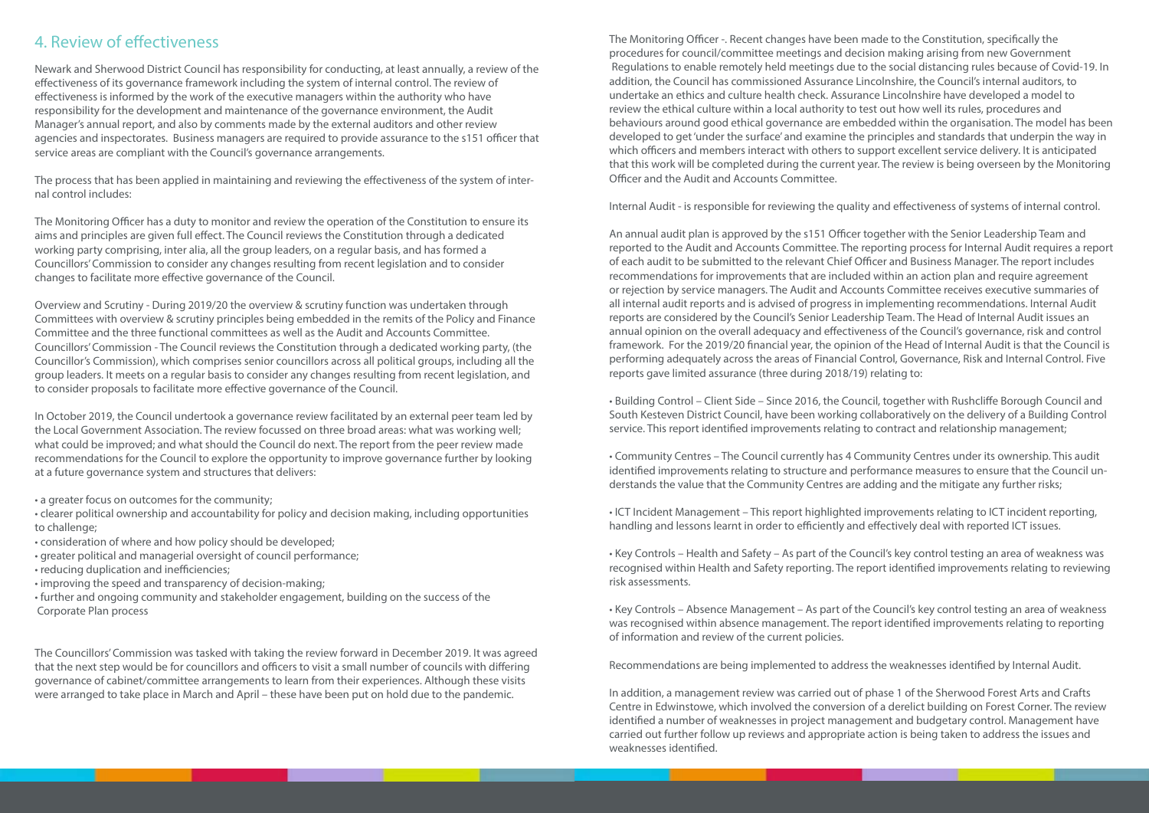## 4. Review of effectiveness

Newark and Sherwood District Council has responsibility for conducting, at least annually, a review of the effectiveness of its governance framework including the system of internal control. The review of effectiveness is informed by the work of the executive managers within the authority who have responsibility for the development and maintenance of the governance environment, the Audit Manager's annual report, and also by comments made by the external auditors and other review agencies and inspectorates. Business managers are required to provide assurance to the s151 officer that service areas are compliant with the Council's governance arrangements.

The process that has been applied in maintaining and reviewing the effectiveness of the system of internal control includes:

The Monitoring Officer has a duty to monitor and review the operation of the Constitution to ensure its aims and principles are given full effect. The Council reviews the Constitution through a dedicated working party comprising, inter alia, all the group leaders, on a regular basis, and has formed a Councillors' Commission to consider any changes resulting from recent legislation and to consider changes to facilitate more effective governance of the Council.

Overview and Scrutiny - During 2019/20 the overview & scrutiny function was undertaken through Committees with overview & scrutiny principles being embedded in the remits of the Policy and Finance Committee and the three functional committees as well as the Audit and Accounts Committee. Councillors' Commission - The Council reviews the Constitution through a dedicated working party, (the Councillor's Commission), which comprises senior councillors across all political groups, including all the group leaders. It meets on a regular basis to consider any changes resulting from recent legislation, and to consider proposals to facilitate more effective governance of the Council.

In October 2019, the Council undertook a governance review facilitated by an external peer team led by the Local Government Association. The review focussed on three broad areas: what was working well; what could be improved; and what should the Council do next. The report from the peer review made recommendations for the Council to explore the opportunity to improve governance further by looking at a future governance system and structures that delivers:

- a greater focus on outcomes for the community;
- clearer political ownership and accountability for policy and decision making, including opportunities to challenge;
- consideration of where and how policy should be developed;
- greater political and managerial oversight of council performance;
- reducing duplication and inefficiencies;
- improving the speed and transparency of decision-making;
- further and ongoing community and stakeholder engagement, building on the success of the Corporate Plan process

The Councillors' Commission was tasked with taking the review forward in December 2019. It was agreed that the next step would be for councillors and officers to visit a small number of councils with differing governance of cabinet/committee arrangements to learn from their experiences. Although these visits were arranged to take place in March and April – these have been put on hold due to the pandemic.

The Monitoring Officer -. Recent changes have been made to the Constitution, specifically the procedures for council/committee meetings and decision making arising from new Government Regulations to enable remotely held meetings due to the social distancing rules because of Covid-19. In addition, the Council has commissioned Assurance Lincolnshire, the Council's internal auditors, to undertake an ethics and culture health check. Assurance Lincolnshire have developed a model to review the ethical culture within a local authority to test out how well its rules, procedures and behaviours around good ethical governance are embedded within the organisation. The model has been developed to get 'under the surface' and examine the principles and standards that underpin the way in which officers and members interact with others to support excellent service delivery. It is anticipated that this work will be completed during the current year. The review is being overseen by the Monitoring Officer and the Audit and Accounts Committee.

Internal Audit - is responsible for reviewing the quality and effectiveness of systems of internal control.

An annual audit plan is approved by the s151 Officer together with the Senior Leadership Team and reported to the Audit and Accounts Committee. The reporting process for Internal Audit requires a report of each audit to be submitted to the relevant Chief Officer and Business Manager. The report includes recommendations for improvements that are included within an action plan and require agreement or rejection by service managers. The Audit and Accounts Committee receives executive summaries of all internal audit reports and is advised of progress in implementing recommendations. Internal Audit reports are considered by the Council's Senior Leadership Team. The Head of Internal Audit issues an annual opinion on the overall adequacy and effectiveness of the Council's governance, risk and control framework. For the 2019/20 financial year, the opinion of the Head of Internal Audit is that the Council is performing adequately across the areas of Financial Control, Governance, Risk and Internal Control. Five reports gave limited assurance (three during 2018/19) relating to:

• Building Control – Client Side – Since 2016, the Council, together with Rushcliffe Borough Council and South Kesteven District Council, have been working collaboratively on the delivery of a Building Control service. This report identified improvements relating to contract and relationship management;

• Community Centres – The Council currently has 4 Community Centres under its ownership. This audit identified improvements relating to structure and performance measures to ensure that the Council understands the value that the Community Centres are adding and the mitigate any further risks;

• ICT Incident Management – This report highlighted improvements relating to ICT incident reporting, handling and lessons learnt in order to efficiently and effectively deal with reported ICT issues.

• Key Controls – Health and Safety – As part of the Council's key control testing an area of weakness was recognised within Health and Safety reporting. The report identified improvements relating to reviewing risk assessments.

• Key Controls – Absence Management – As part of the Council's key control testing an area of weakness was recognised within absence management. The report identified improvements relating to reporting of information and review of the current policies.

Recommendations are being implemented to address the weaknesses identified by Internal Audit.

In addition, a management review was carried out of phase 1 of the Sherwood Forest Arts and Crafts Centre in Edwinstowe, which involved the conversion of a derelict building on Forest Corner. The review identified a number of weaknesses in project management and budgetary control. Management have carried out further follow up reviews and appropriate action is being taken to address the issues and weaknesses identified.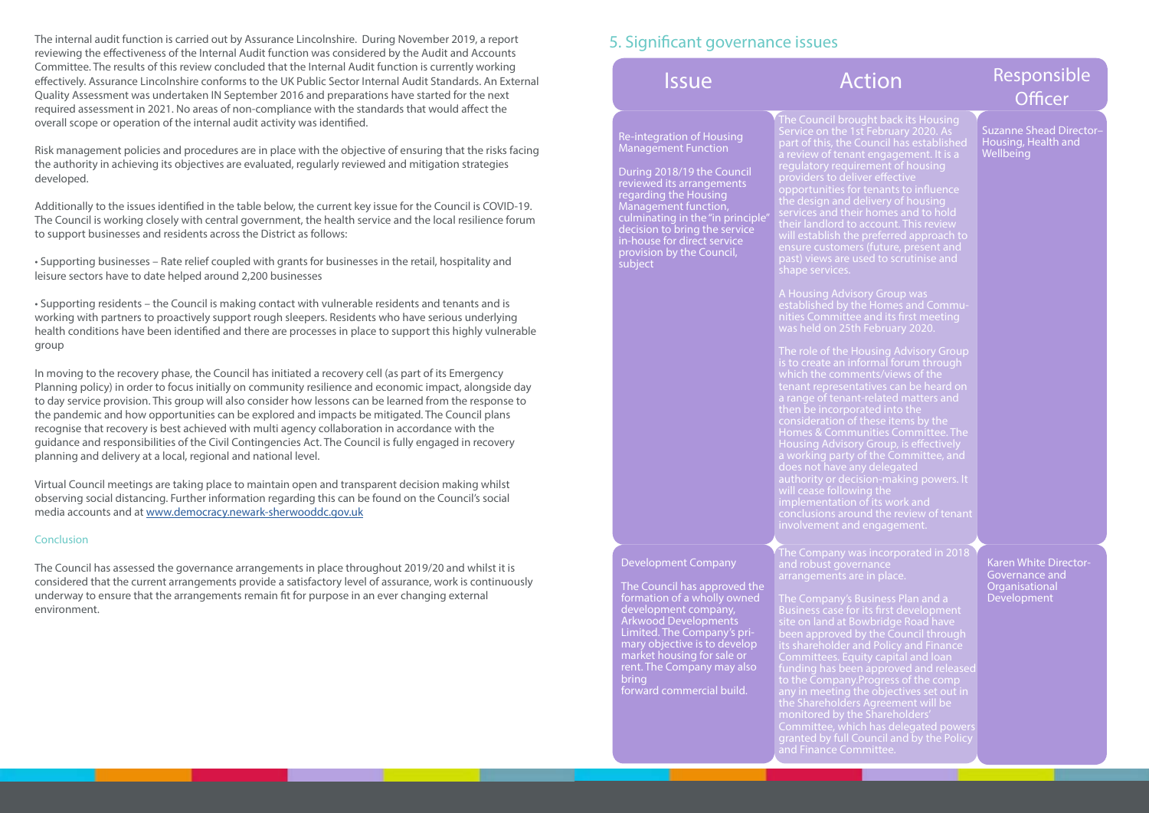The internal audit function is carried out by Assurance Lincolnshire. During November 2019, a report reviewing the effectiveness of the Internal Audit function was considered by the Audit and Accounts Committee. The results of this review concluded that the Internal Audit function is currently working effectively. Assurance Lincolnshire conforms to the UK Public Sector Internal Audit Standards. An External Quality Assessment was undertaken IN September 2016 and preparations have started for the next required assessment in 2021. No areas of non-compliance with the standards that would affect the overall scope or operation of the internal audit activity was identified.

Risk management policies and procedures are in place with the objective of ensuring that the risks facing the authority in achieving its objectives are evaluated, regularly reviewed and mitigation strategies developed.

Additionally to the issues identified in the table below, the current key issue for the Council is COVID-19. The Council is working closely with central government, the health service and the local resilience forum to support businesses and residents across the District as follows:

• Supporting businesses – Rate relief coupled with grants for businesses in the retail, hospitality and leisure sectors have to date helped around 2,200 businesses

• Supporting residents – the Council is making contact with vulnerable residents and tenants and is working with partners to proactively support rough sleepers. Residents who have serious underlying health conditions have been identified and there are processes in place to support this highly vulnerable group

In moving to the recovery phase, the Council has initiated a recovery cell (as part of its Emergency Planning policy) in order to focus initially on community resilience and economic impact, alongside day to day service provision. This group will also consider how lessons can be learned from the response to the pandemic and how opportunities can be explored and impacts be mitigated. The Council plans recognise that recovery is best achieved with multi agency collaboration in accordance with the guidance and responsibilities of the Civil Contingencies Act. The Council is fully engaged in recovery planning and delivery at a local, regional and national level.

> The Company was incorporated in 2018 and robust governance arrangements are in place.

The Company's Business Plan and a Business case for its first development site on land at Bowbridge Road have been approved by the Council through its shareholder and Policy and Finance Committees. Equity capital and loan funding has been approved and released to the Company.Progress of the comp any in meeting the objectives set out in the Shareholders Agreement will be monitored by the Shareholders' Committee, which has delegated powers granted by full Council and by the Policy

Virtual Council meetings are taking place to maintain open and transparent decision making whilst observing social distancing. Further information regarding this can be found on the Council's social media accounts and at [www.democracy.newark-sherwooddc.gov.uk](http://bit.ly/3cX3cpG)

### **Conclusion**

Suzanne Shead Director– Housing, Health and **Wellbeing** 

The Council has assessed the governance arrangements in place throughout 2019/20 and whilst it is considered that the current arrangements provide a satisfactory level of assurance, work is continuously underway to ensure that the arrangements remain fit for purpose in an ever changing external environment.

### 5. Significant governance issues

### Re-integration of Housing Management Function

During 2018/19 the Council reviewed its arrangements regarding the Housing Management function, culminating in the "in principle" decision to bring the service in-house for direct service provision by the Council, subject

The Council brought back its Housing Service on the 1st February 2020. As part of this, the Council has established a review of tenant engagement. It is a regulatory requirement of housing providers to deliver effective opportunities for tenants to influence the design and delivery of housing services and their homes and to hold their landlord to account. This review will establish the preferred approach to ensure customers (future, present and shape services.

A Housing Advisory Group was established by the Homes and Communities Committee and its first meeting was held on 25th February 2020.

The role of the Housing Advisory Group is to create an informal forum through which the comments/views of the tenant representatives can be heard on a range of tenant-related matters and then be incorporated into the consideration of these items by the Homes & Communities Committee. The Housing Advisory Group, is effectively a working party of the Committee, and does not have any delegated authority or decision-making powers. It will cease following the implementation of its work and conclusions around the review of tenant involvement and engagement.

### Development Company

The Council has approved the formation of a wholly owned development company, Arkwood Developments Limited. The Company's primary objective is to develop market housing for sale or rent. The Company may also bring forward commercial build.

and Finance Committee.

# Issue **Action** Responsible **Officer**

Karen White Director-Governance and **Organisational** Development